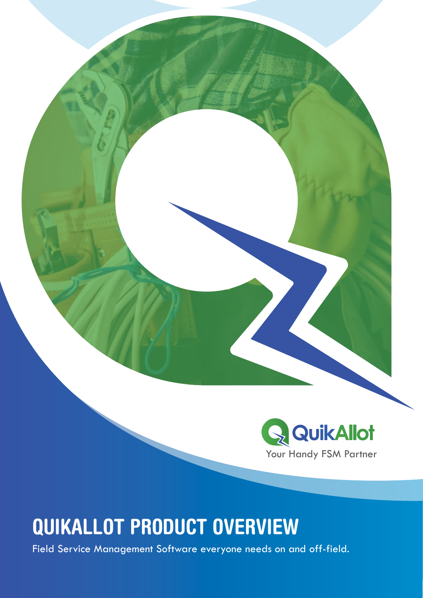

# QUIKALLOT PRODUCT OVERVIEW

Field Service Management Software everyone needs on and off-field.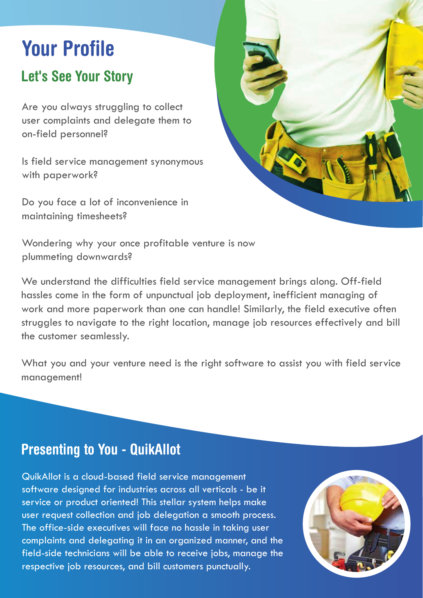# Your Profile

# Let's See Your Story

Are you always struggling to collect user complaints and delegate them to on-field personnel?

Is field service management synonymous with paperwork?

Do you face a lot of inconvenience in maintaining timesheets?



Wondering why your once profitable venture is now plummeting downwards?

We understand the difficulties field service management brings along. Off-field hassles come in the form of unpunctual job deployment, inefficient managing of work and more paperwork than one can handle! Similarly, the field executive often struggles to navigate to the right location, manage job resources effectively and bill the customer seamlessly.

What you and your venture need is the right software to assist you with field service management!

## Presenting to You - QuikAllot

Presenting to You - QuikAllot QuikAllot is a cloud-based field service management software designed for industries across all verticals - be it service or product oriented! This stellar system helps make user request collection and job delegation a smooth process. The office-side executives will face no hassle in taking user complaints and delegating it in an organized manner, and the field-side technicians will be able to receive jobs, manage the respective job resources, and bill customers punctually.

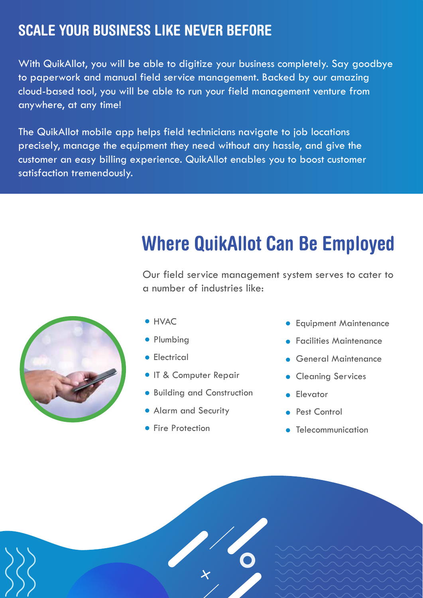# SCALE YOUR BUSINESS LIKE NEVER BEFORE

With QuikAllot, you will be able to digitize your business completely. Say goodbye to paperwork and manual field service management. Backed by our amazing cloud-based tool, you will be able to run your field management venture from anywhere, at any time!

The QuikAllot mobile app helps field technicians navigate to job locations precisely, manage the equipment they need without any hassle, and give the customer an easy billing experience. QuikAllot enables you to boost customer satisfaction tremendously.

# Where QuikAllot Can Be Employed

Our field service management system serves to cater to a number of industries like:



- **HVAC**
- Plumbing
- **•** Electrical
- **IT & Computer Repair**
- **Building and Construction**
- Alarm and Security
- **Fire Protection**
- **Equipment Maintenance**
- **Facilities Maintenance**
- General Maintenance
- **Cleaning Services**
- **Elevator**
- **Pest Control**
- **•** Telecommunication

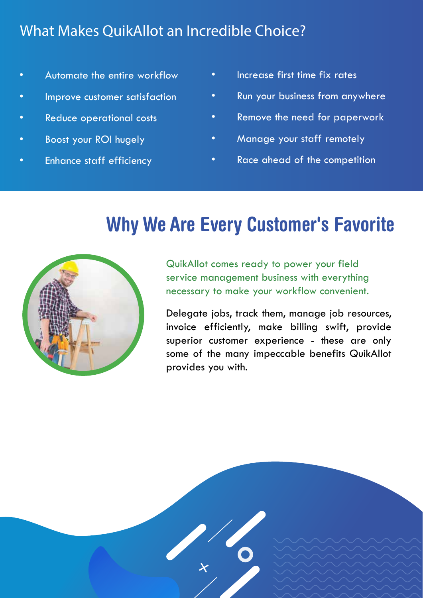# What Makes QuikAllot an Incredible Choice?

- Automate the entire workflow
- Improve customer satisfaction
- Reduce operational costs
- Boost your ROI hugely
- Enhance staff efficiency
- Increase first time fix rates
- Run your business from anywhere
- Remove the need for paperwork
- Manage your staff remotely
- Race ahead of the competition

# Why We Are Every Customer's Favorite



QuikAllot comes ready to power your field service management business with everything necessary to make your workflow convenient.

Delegate jobs, track them, manage job resources, invoice efficiently, make billing swift, provide superior customer experience - these are only some of the many impeccable benefits QuikAllot provides you with.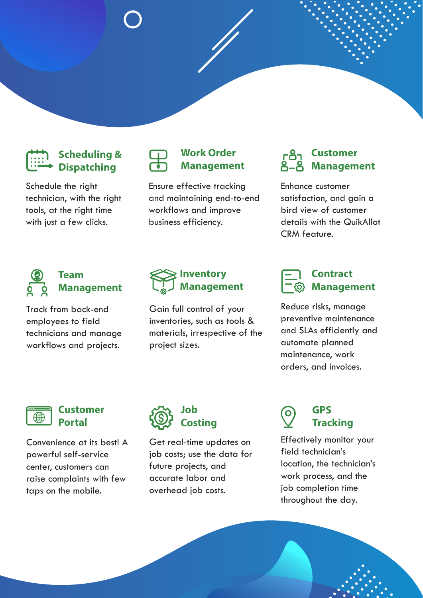

### **Scheduling & Dispatching**

Schedule the right technician, with the right tools, at the right time with just a few clicks.



### **Work Order Management**

Ensure effective tracking and maintaining end-to-end workflows and improve business efficiency.

### **Customer Management**

Enhance customer satisfaction, and gain a bird view of customer details with the QuikAllot CRM feature.



### **Team Management**

Track from back-end employees to field technicians and manage workflows and projects.



Gain full control of your inventories, such as tools & materials, irrespective of the project sizes.



Reduce risks, manage preventive maintenance and SLAs efficiently and automate planned maintenance, work orders, and invoices. **Local State** DOLOR SIT AMET



#### **Customer Portal**

Convenience at its best! A powerful self-service center, customers can raise complaints with few taps on the mobile.



Get real-time updates on job costs; use the data for future projects, and accurate labor and overhead job costs.



### **GPS Tracking**

consectetuer adipiscing elit Effectively monitor your field technician's location, the technician's work process, and the job completion time throughout the day.

**LOREM IPSUM DOLOR SIT**

**LOREM IPSUM**

**DOLOR SIT AMET**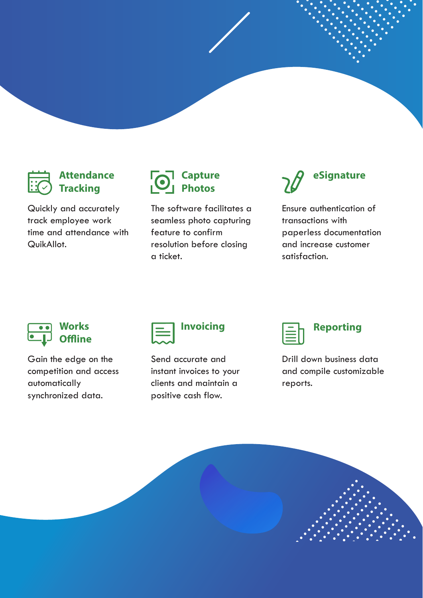### **Attendance Tracking**

Quickly and accurately track employee work time and attendance with QuikAllot.



The software facilitates a seamless photo capturing feature to confirm resolution before closing a ticket.



Ensure authentication of transactions with paperless documentation and increase customer satisfaction.



Gain the edge on the competition and access automatically synchronized data.



Send accurate and instant invoices to your clients and maintain a positive cash flow.

| <b>Reporting</b> |
|------------------|
|------------------|

Drill down business data and compile customizable reports.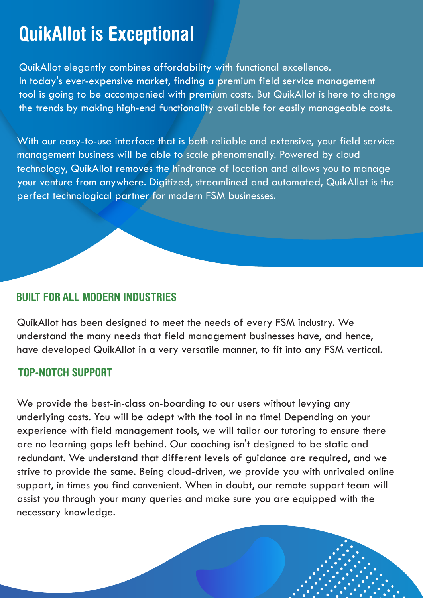# QuikAllot is Exceptional

QuikAllot elegantly combines affordability with functional excellence. In today's ever-expensive market, finding a premium field service management tool is going to be accompanied with premium costs. But QuikAllot is here to change the trends by making high-end functionality available for easily manageable costs.

With our easy-to-use interface that is both reliable and extensive, your field service management business will be able to scale phenomenally. Powered by cloud technology, QuikAllot removes the hindrance of location and allows you to manage your venture from anywhere. Digitized, streamlined and automated, QuikAllot is the perfect technological partner for modern FSM businesses.

### BUILT FOR ALL MODERN INDUSTRIES

QuikAllot has been designed to meet the needs of every FSM industry. We understand the many needs that field management businesses have, and hence, have developed QuikAllot in a very versatile manner, to fit into any FSM vertical.

### TOP-NOTCH SUPPORT

We provide the best-in-class on-boarding to our users without levying any underlying costs. You will be adept with the tool in no time! Depending on your experience with field management tools, we will tailor our tutoring to ensure there are no learning gaps left behind. Our coaching isn't designed to be static and redundant. We understand that different levels of guidance are required, and we strive to provide the same. Being cloud-driven, we provide you with unrivaled online support, in times you find convenient. When in doubt, our remote support team will assist you through your many queries and make sure you are equipped with the necessary knowledge.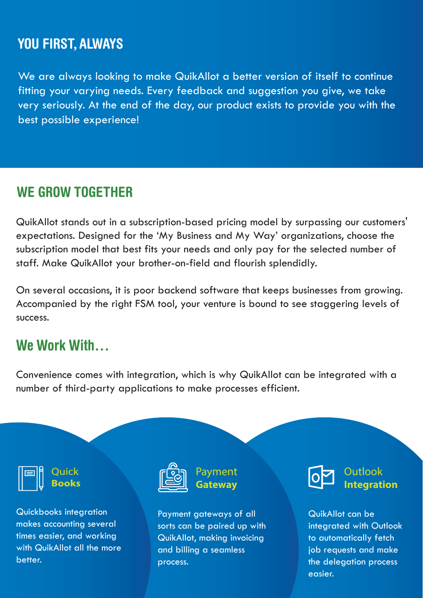### YOU FIRST, ALWAYS

We are always looking to make QuikAllot a better version of itself to continue fitting your varying needs. Every feedback and suggestion you give, we take very seriously. At the end of the day, our product exists to provide you with the best possible experience!

## WE GROW TOGETHER

QuikAllot stands out in a subscription-based pricing model by surpassing our customers' expectations. Designed for the 'My Business and My Way' organizations, choose the subscription model that best fits your needs and only pay for the selected number of staff. Make QuikAllot your brother-on-field and flourish splendidly.

On several occasions, it is poor backend software that keeps businesses from growing. Accompanied by the right FSM tool, your venture is bound to see staggering levels of success.

### We Work With…

Convenience comes with integration, which is why QuikAllot can be integrated with a number of third-party applications to make processes efficient.



**Quick Books**

Quickbooks integration makes accounting several times easier, and working with QuikAllot all the more better.



Payment **Gateway**

Payment gateways of all sorts can be paired up with QuikAllot, making invoicing and billing a seamless process.



**Outlook Integration**

QuikAllot can be integrated with Outlook to automatically fetch job requests and make the delegation process easier.